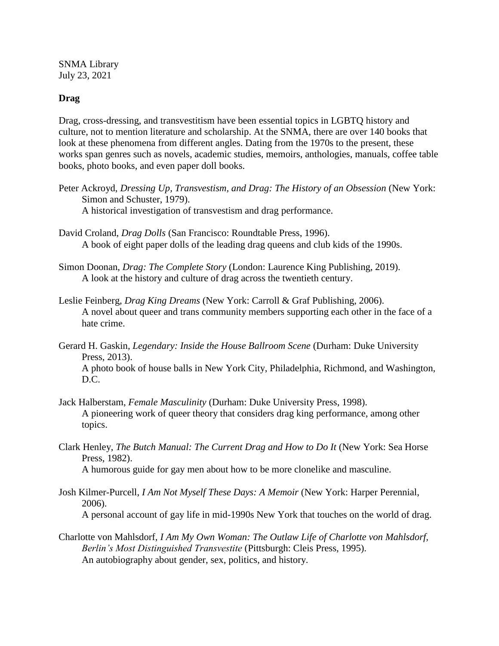SNMA Library July 23, 2021

## **Drag**

Drag, cross-dressing, and transvestitism have been essential topics in LGBTQ history and culture, not to mention literature and scholarship. At the SNMA, there are over 140 books that look at these phenomena from different angles. Dating from the 1970s to the present, these works span genres such as novels, academic studies, memoirs, anthologies, manuals, coffee table books, photo books, and even paper doll books.

- Peter Ackroyd, *Dressing Up, Transvestism, and Drag: The History of an Obsession* (New York: Simon and Schuster, 1979). A historical investigation of transvestism and drag performance.
- David Croland, *Drag Dolls* (San Francisco: Roundtable Press, 1996). A book of eight paper dolls of the leading drag queens and club kids of the 1990s.
- Simon Doonan, *Drag: The Complete Story* (London: Laurence King Publishing, 2019). A look at the history and culture of drag across the twentieth century.
- Leslie Feinberg, *Drag King Dreams* (New York: Carroll & Graf Publishing, 2006). A novel about queer and trans community members supporting each other in the face of a hate crime.
- Gerard H. Gaskin, *Legendary: Inside the House Ballroom Scene* (Durham: Duke University Press, 2013).

A photo book of house balls in New York City, Philadelphia, Richmond, and Washington, D.C.

- Jack Halberstam, *Female Masculinity* (Durham: Duke University Press, 1998). A pioneering work of queer theory that considers drag king performance, among other topics.
- Clark Henley, *The Butch Manual: The Current Drag and How to Do It* (New York: Sea Horse Press, 1982).

A humorous guide for gay men about how to be more clonelike and masculine.

- Josh Kilmer-Purcell, *I Am Not Myself These Days: A Memoir* (New York: Harper Perennial, 2006). A personal account of gay life in mid-1990s New York that touches on the world of drag.
- Charlotte von Mahlsdorf, *I Am My Own Woman: The Outlaw Life of Charlotte von Mahlsdorf, Berlin's Most Distinguished Transvestite* (Pittsburgh: Cleis Press, 1995). An autobiography about gender, sex, politics, and history.